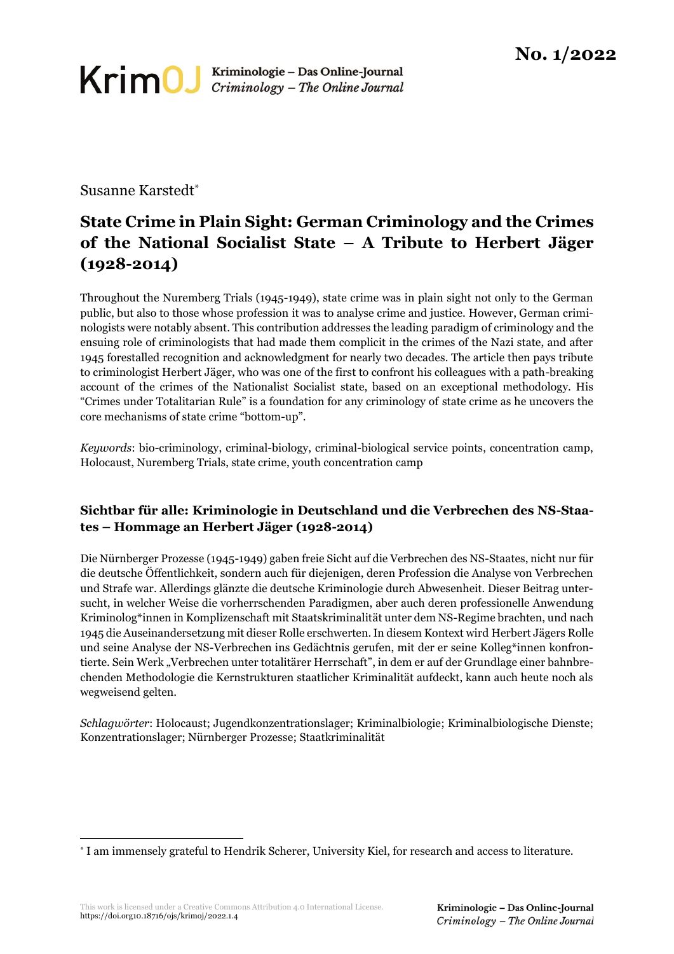Susanne Karstedt\*

# **State Crime in Plain Sight: German Criminology and the Crimes of the National Socialist State – A Tribute to Herbert Jäger (1928-2014)**

Throughout the Nuremberg Trials (1945-1949), state crime was in plain sight not only to the German public, but also to those whose profession it was to analyse crime and justice. However, German criminologists were notably absent. This contribution addresses the leading paradigm of criminology and the ensuing role of criminologists that had made them complicit in the crimes of the Nazi state, and after 1945 forestalled recognition and acknowledgment for nearly two decades. The article then pays tribute to criminologist Herbert Jäger, who was one of the first to confront his colleagues with a path-breaking account of the crimes of the Nationalist Socialist state, based on an exceptional methodology. His "Crimes under Totalitarian Rule" is a foundation for any criminology of state crime as he uncovers the core mechanisms of state crime "bottom-up".

*Keywords*: bio-criminology, criminal-biology, criminal-biological service points, concentration camp, Holocaust, Nuremberg Trials, state crime, youth concentration camp

#### **Sichtbar für alle: Kriminologie in Deutschland und die Verbrechen des NS-Staates – Hommage an Herbert Jäger (1928-2014)**

Die Nürnberger Prozesse (1945-1949) gaben freie Sicht auf die Verbrechen des NS-Staates, nicht nur für die deutsche Öffentlichkeit, sondern auch für diejenigen, deren Profession die Analyse von Verbrechen und Strafe war. Allerdings glänzte die deutsche Kriminologie durch Abwesenheit. Dieser Beitrag untersucht, in welcher Weise die vorherrschenden Paradigmen, aber auch deren professionelle Anwendung Kriminolog\*innen in Komplizenschaft mit Staatskriminalität unter dem NS-Regime brachten, und nach 1945 die Auseinandersetzung mit dieser Rolle erschwerten. In diesem Kontext wird Herbert Jägers Rolle und seine Analyse der NS-Verbrechen ins Gedächtnis gerufen, mit der er seine Kolleg\*innen konfrontierte. Sein Werk "Verbrechen unter totalitärer Herrschaft", in dem er auf der Grundlage einer bahnbrechenden Methodologie die Kernstrukturen staatlicher Kriminalität aufdeckt, kann auch heute noch als wegweisend gelten.

*Schlagwörter*: Holocaust; Jugendkonzentrationslager; Kriminalbiologie; Kriminalbiologische Dienste; Konzentrationslager; Nürnberger Prozesse; Staatkriminalität

<sup>\*</sup> I am immensely grateful to Hendrik Scherer, University Kiel, for research and access to literature.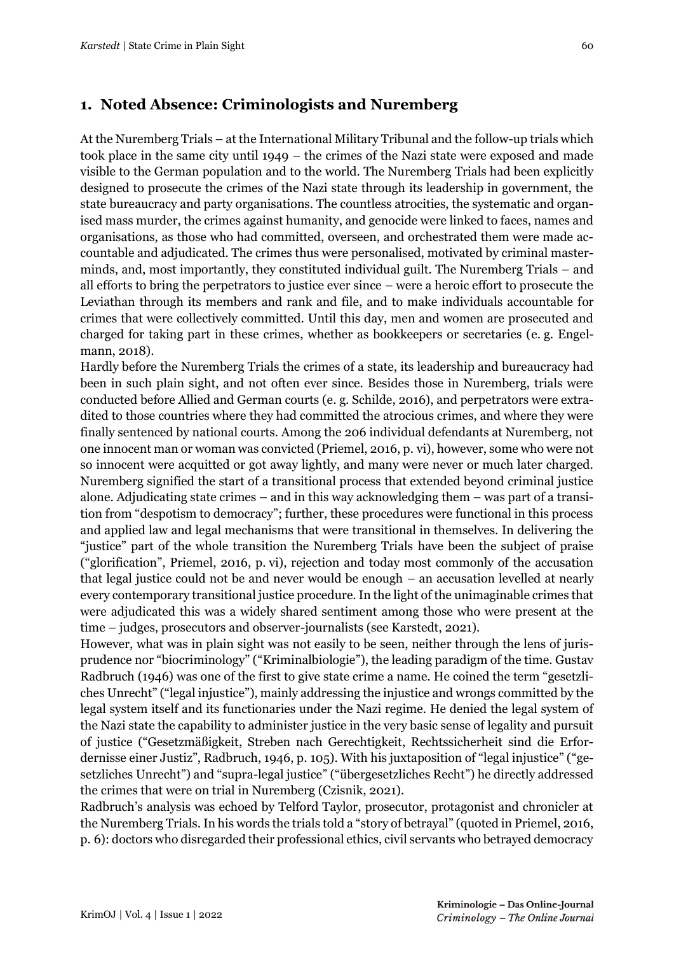At the Nuremberg Trials – at the International Military Tribunal and the follow-up trials which took place in the same city until 1949 – the crimes of the Nazi state were exposed and made visible to the German population and to the world. The Nuremberg Trials had been explicitly designed to prosecute the crimes of the Nazi state through its leadership in government, the state bureaucracy and party organisations. The countless atrocities, the systematic and organised mass murder, the crimes against humanity, and genocide were linked to faces, names and organisations, as those who had committed, overseen, and orchestrated them were made accountable and adjudicated. The crimes thus were personalised, motivated by criminal masterminds, and, most importantly, they constituted individual guilt. The Nuremberg Trials – and all efforts to bring the perpetrators to justice ever since – were a heroic effort to prosecute the Leviathan through its members and rank and file, and to make individuals accountable for crimes that were collectively committed. Until this day, men and women are prosecuted and charged for taking part in these crimes, whether as bookkeepers or secretaries (e. g. Engelmann, 2018).

Hardly before the Nuremberg Trials the crimes of a state, its leadership and bureaucracy had been in such plain sight, and not often ever since. Besides those in Nuremberg, trials were conducted before Allied and German courts (e. g. Schilde, 2016), and perpetrators were extradited to those countries where they had committed the atrocious crimes, and where they were finally sentenced by national courts. Among the 206 individual defendants at Nuremberg, not one innocent man or woman was convicted (Priemel, 2016, p. vi), however, some who were not so innocent were acquitted or got away lightly, and many were never or much later charged. Nuremberg signified the start of a transitional process that extended beyond criminal justice alone. Adjudicating state crimes – and in this way acknowledging them – was part of a transition from "despotism to democracy"; further, these procedures were functional in this process and applied law and legal mechanisms that were transitional in themselves. In delivering the "justice" part of the whole transition the Nuremberg Trials have been the subject of praise ("glorification", Priemel, 2016, p. vi), rejection and today most commonly of the accusation that legal justice could not be and never would be enough – an accusation levelled at nearly every contemporary transitional justice procedure. In the light of the unimaginable crimes that were adjudicated this was a widely shared sentiment among those who were present at the time – judges, prosecutors and observer-journalists (see Karstedt, 2021).

However, what was in plain sight was not easily to be seen, neither through the lens of jurisprudence nor "biocriminology" ("Kriminalbiologie"), the leading paradigm of the time. Gustav Radbruch (1946) was one of the first to give state crime a name. He coined the term "gesetzliches Unrecht" ("legal injustice"), mainly addressing the injustice and wrongs committed by the legal system itself and its functionaries under the Nazi regime. He denied the legal system of the Nazi state the capability to administer justice in the very basic sense of legality and pursuit of justice ("Gesetzmäßigkeit, Streben nach Gerechtigkeit, Rechtssicherheit sind die Erfordernisse einer Justiz", Radbruch, 1946, p. 105). With his juxtaposition of "legal injustice" ("gesetzliches Unrecht") and "supra-legal justice" ("übergesetzliches Recht") he directly addressed the crimes that were on trial in Nuremberg (Czisnik, 2021).

Radbruch's analysis was echoed by Telford Taylor, prosecutor, protagonist and chronicler at the Nuremberg Trials. In his words the trials told a "story of betrayal" (quoted in Priemel, 2016, p. 6): doctors who disregarded their professional ethics, civil servants who betrayed democracy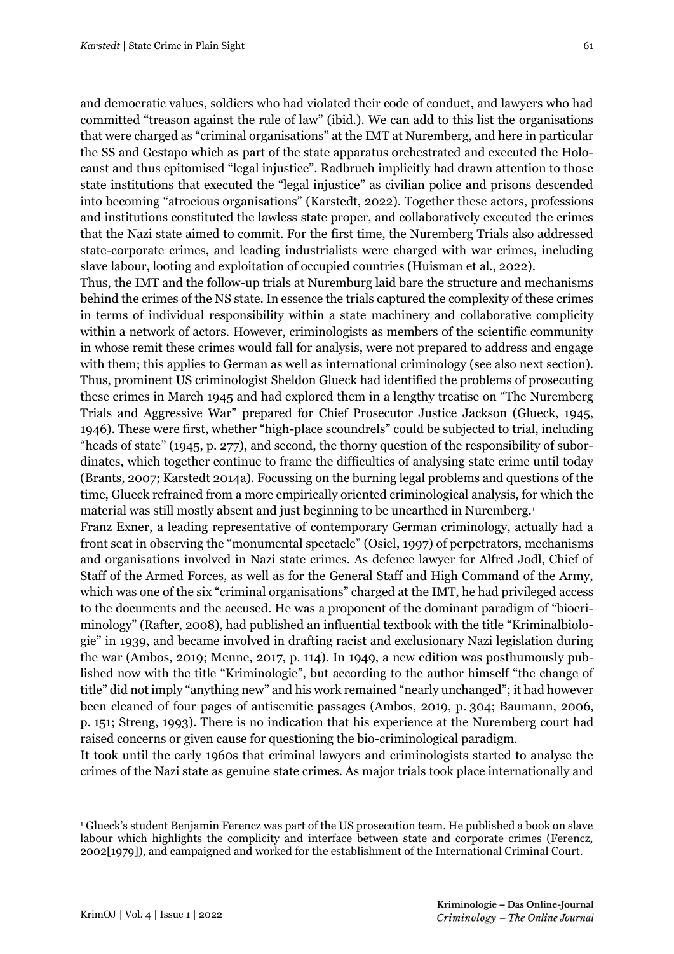and democratic values, soldiers who had violated their code of conduct, and lawyers who had committed "treason against the rule of law" (ibid.). We can add to this list the organisations that were charged as "criminal organisations" at the IMT at Nuremberg, and here in particular the SS and Gestapo which as part of the state apparatus orchestrated and executed the Holocaust and thus epitomised "legal injustice". Radbruch implicitly had drawn attention to those state institutions that executed the "legal injustice" as civilian police and prisons descended into becoming "atrocious organisations" (Karstedt, 2022). Together these actors, professions and institutions constituted the lawless state proper, and collaboratively executed the crimes that the Nazi state aimed to commit. For the first time, the Nuremberg Trials also addressed state-corporate crimes, and leading industrialists were charged with war crimes, including slave labour, looting and exploitation of occupied countries (Huisman et al., 2022).

Thus, the IMT and the follow-up trials at Nuremburg laid bare the structure and mechanisms behind the crimes of the NS state. In essence the trials captured the complexity of these crimes in terms of individual responsibility within a state machinery and collaborative complicity within a network of actors. However, criminologists as members of the scientific community in whose remit these crimes would fall for analysis, were not prepared to address and engage with them; this applies to German as well as international criminology (see also next section). Thus, prominent US criminologist Sheldon Glueck had identified the problems of prosecuting these crimes in March 1945 and had explored them in a lengthy treatise on "The Nuremberg Trials and Aggressive War" prepared for Chief Prosecutor Justice Jackson (Glueck, 1945, 1946). These were first, whether "high-place scoundrels" could be subjected to trial, including "heads of state" (1945, p. 277), and second, the thorny question of the responsibility of subordinates, which together continue to frame the difficulties of analysing state crime until today (Brants, 2007; Karstedt 2014a). Focussing on the burning legal problems and questions of the time, Glueck refrained from a more empirically oriented criminological analysis, for which the material was still mostly absent and just beginning to be unearthed in Nuremberg.<sup>1</sup>

Franz Exner, a leading representative of contemporary German criminology, actually had a front seat in observing the "monumental spectacle" (Osiel, 1997) of perpetrators, mechanisms and organisations involved in Nazi state crimes. As defence lawyer for Alfred Jodl, Chief of Staff of the Armed Forces, as well as for the General Staff and High Command of the Army, which was one of the six "criminal organisations" charged at the IMT, he had privileged access to the documents and the accused. He was a proponent of the dominant paradigm of "biocriminology" (Rafter, 2008), had published an influential textbook with the title "Kriminalbiologie" in 1939, and became involved in drafting racist and exclusionary Nazi legislation during the war (Ambos, 2019; Menne, 2017, p. 114). In 1949, a new edition was posthumously published now with the title "Kriminologie", but according to the author himself "the change of title" did not imply "anything new" and his work remained "nearly unchanged"; it had however been cleaned of four pages of antisemitic passages (Ambos, 2019, p. 304; Baumann, 2006, p. 151; Streng, 1993). There is no indication that his experience at the Nuremberg court had raised concerns or given cause for questioning the bio-criminological paradigm.

It took until the early 1960s that criminal lawyers and criminologists started to analyse the crimes of the Nazi state as genuine state crimes. As major trials took place internationally and

<sup>1</sup> Glueck's student Benjamin Ferencz was part of the US prosecution team. He published a book on slave labour which highlights the complicity and interface between state and corporate crimes (Ferencz, 2002[1979]), and campaigned and worked for the establishment of the International Criminal Court.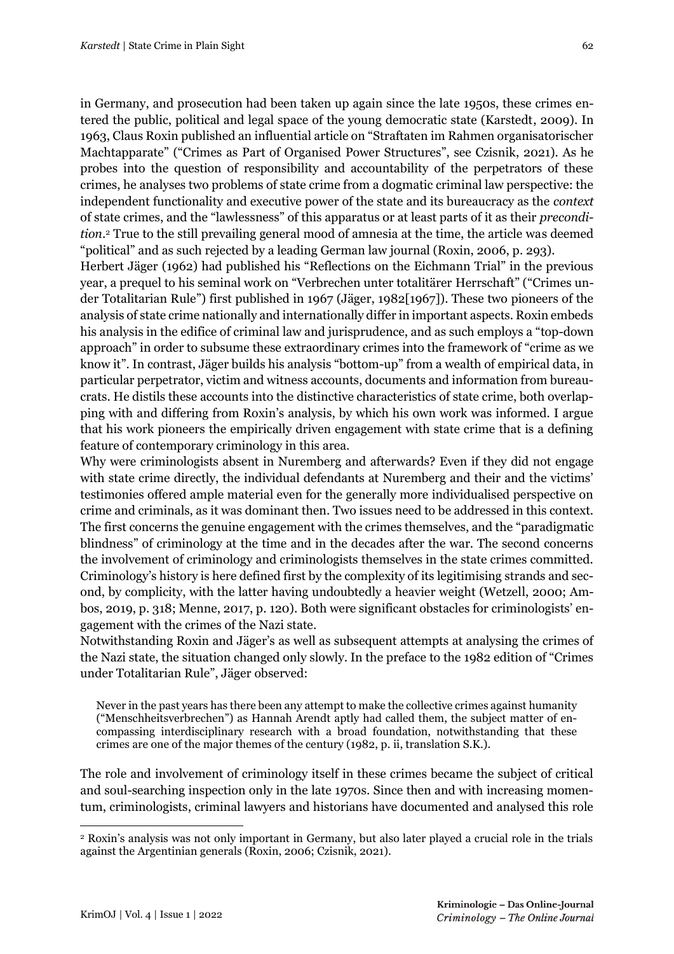in Germany, and prosecution had been taken up again since the late 1950s, these crimes entered the public, political and legal space of the young democratic state (Karstedt, 2009). In 1963, Claus Roxin published an influential article on "Straftaten im Rahmen organisatorischer Machtapparate" ("Crimes as Part of Organised Power Structures", see Czisnik, 2021). As he probes into the question of responsibility and accountability of the perpetrators of these crimes, he analyses two problems of state crime from a dogmatic criminal law perspective: the independent functionality and executive power of the state and its bureaucracy as the *context* of state crimes, and the "lawlessness" of this apparatus or at least parts of it as their *precondition*. <sup>2</sup> True to the still prevailing general mood of amnesia at the time, the article was deemed "political" and as such rejected by a leading German law journal (Roxin, 2006, p. 293).

Herbert Jäger (1962) had published his "Reflections on the Eichmann Trial" in the previous year, a prequel to his seminal work on "Verbrechen unter totalitärer Herrschaft" ("Crimes under Totalitarian Rule") first published in 1967 (Jäger, 1982[1967]). These two pioneers of the analysis of state crime nationally and internationally differ in important aspects. Roxin embeds his analysis in the edifice of criminal law and jurisprudence, and as such employs a "top-down approach" in order to subsume these extraordinary crimes into the framework of "crime as we know it". In contrast, Jäger builds his analysis "bottom-up" from a wealth of empirical data, in particular perpetrator, victim and witness accounts, documents and information from bureaucrats. He distils these accounts into the distinctive characteristics of state crime, both overlapping with and differing from Roxin's analysis, by which his own work was informed. I argue that his work pioneers the empirically driven engagement with state crime that is a defining feature of contemporary criminology in this area.

Why were criminologists absent in Nuremberg and afterwards? Even if they did not engage with state crime directly, the individual defendants at Nuremberg and their and the victims' testimonies offered ample material even for the generally more individualised perspective on crime and criminals, as it was dominant then. Two issues need to be addressed in this context. The first concerns the genuine engagement with the crimes themselves, and the "paradigmatic blindness" of criminology at the time and in the decades after the war. The second concerns the involvement of criminology and criminologists themselves in the state crimes committed. Criminology's history is here defined first by the complexity of its legitimising strands and second, by complicity, with the latter having undoubtedly a heavier weight (Wetzell, 2000; Ambos, 2019, p. 318; Menne, 2017, p. 120). Both were significant obstacles for criminologists' engagement with the crimes of the Nazi state.

Notwithstanding Roxin and Jäger's as well as subsequent attempts at analysing the crimes of the Nazi state, the situation changed only slowly. In the preface to the 1982 edition of "Crimes under Totalitarian Rule", Jäger observed:

Never in the past years has there been any attempt to make the collective crimes against humanity ("Menschheitsverbrechen") as Hannah Arendt aptly had called them, the subject matter of encompassing interdisciplinary research with a broad foundation, notwithstanding that these crimes are one of the major themes of the century (1982, p. ii, translation S.K.).

The role and involvement of criminology itself in these crimes became the subject of critical and soul-searching inspection only in the late 1970s. Since then and with increasing momentum, criminologists, criminal lawyers and historians have documented and analysed this role

<sup>2</sup> Roxin's analysis was not only important in Germany, but also later played a crucial role in the trials against the Argentinian generals (Roxin, 2006; Czisnik, 2021).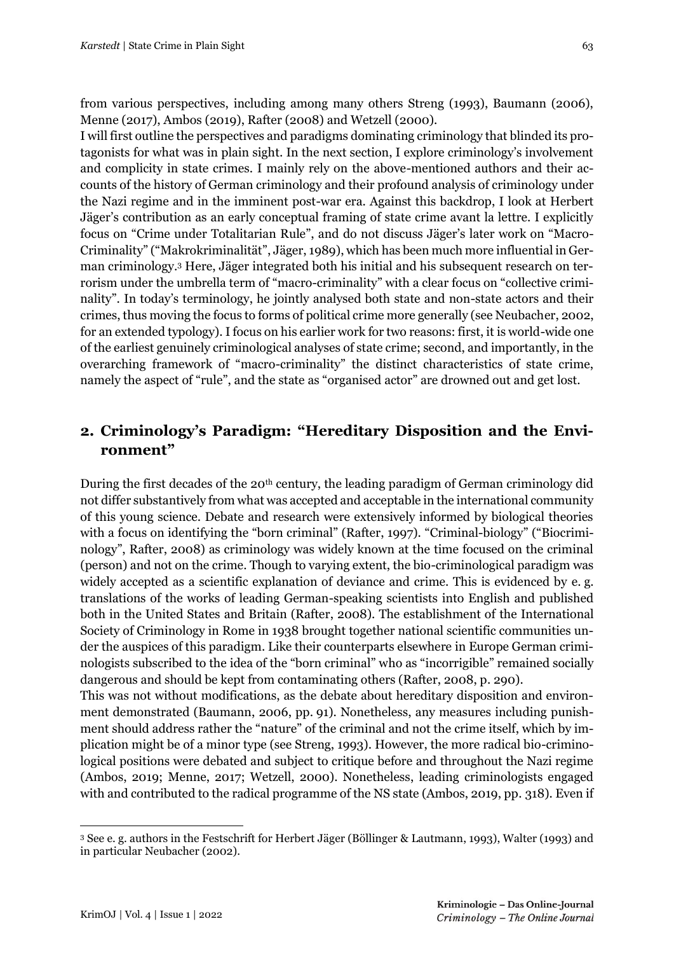from various perspectives, including among many others Streng (1993), Baumann (2006), Menne (2017), Ambos (2019), Rafter (2008) and Wetzell (2000).

I will first outline the perspectives and paradigms dominating criminology that blinded its protagonists for what was in plain sight. In the next section, I explore criminology's involvement and complicity in state crimes. I mainly rely on the above-mentioned authors and their accounts of the history of German criminology and their profound analysis of criminology under the Nazi regime and in the imminent post-war era. Against this backdrop, I look at Herbert Jäger's contribution as an early conceptual framing of state crime avant la lettre. I explicitly focus on "Crime under Totalitarian Rule", and do not discuss Jäger's later work on "Macro-Criminality" ("Makrokriminalität", Jäger, 1989), which has been much more influential in German criminology.<sup>3</sup> Here, Jäger integrated both his initial and his subsequent research on terrorism under the umbrella term of "macro-criminality" with a clear focus on "collective criminality". In today's terminology, he jointly analysed both state and non-state actors and their crimes, thus moving the focus to forms of political crime more generally (see Neubacher, 2002, for an extended typology). I focus on his earlier work for two reasons: first, it is world-wide one of the earliest genuinely criminological analyses of state crime; second, and importantly, in the overarching framework of "macro-criminality" the distinct characteristics of state crime, namely the aspect of "rule", and the state as "organised actor" are drowned out and get lost.

### **2. Criminology's Paradigm: "Hereditary Disposition and the Environment"**

During the first decades of the 20<sup>th</sup> century, the leading paradigm of German criminology did not differ substantively from what was accepted and acceptable in the international community of this young science. Debate and research were extensively informed by biological theories with a focus on identifying the "born criminal" (Rafter, 1997). "Criminal-biology" ("Biocriminology", Rafter, 2008) as criminology was widely known at the time focused on the criminal (person) and not on the crime. Though to varying extent, the bio-criminological paradigm was widely accepted as a scientific explanation of deviance and crime. This is evidenced by e. g. translations of the works of leading German-speaking scientists into English and published both in the United States and Britain (Rafter, 2008). The establishment of the International Society of Criminology in Rome in 1938 brought together national scientific communities under the auspices of this paradigm. Like their counterparts elsewhere in Europe German criminologists subscribed to the idea of the "born criminal" who as "incorrigible" remained socially dangerous and should be kept from contaminating others (Rafter, 2008, p. 290).

This was not without modifications, as the debate about hereditary disposition and environment demonstrated (Baumann, 2006, pp. 91). Nonetheless, any measures including punishment should address rather the "nature" of the criminal and not the crime itself, which by implication might be of a minor type (see Streng, 1993). However, the more radical bio-criminological positions were debated and subject to critique before and throughout the Nazi regime (Ambos, 2019; Menne, 2017; Wetzell, 2000). Nonetheless, leading criminologists engaged with and contributed to the radical programme of the NS state (Ambos, 2019, pp. 318). Even if

<sup>3</sup> See e. g. authors in the Festschrift for Herbert Jäger (Böllinger & Lautmann, 1993), Walter (1993) and in particular Neubacher (2002).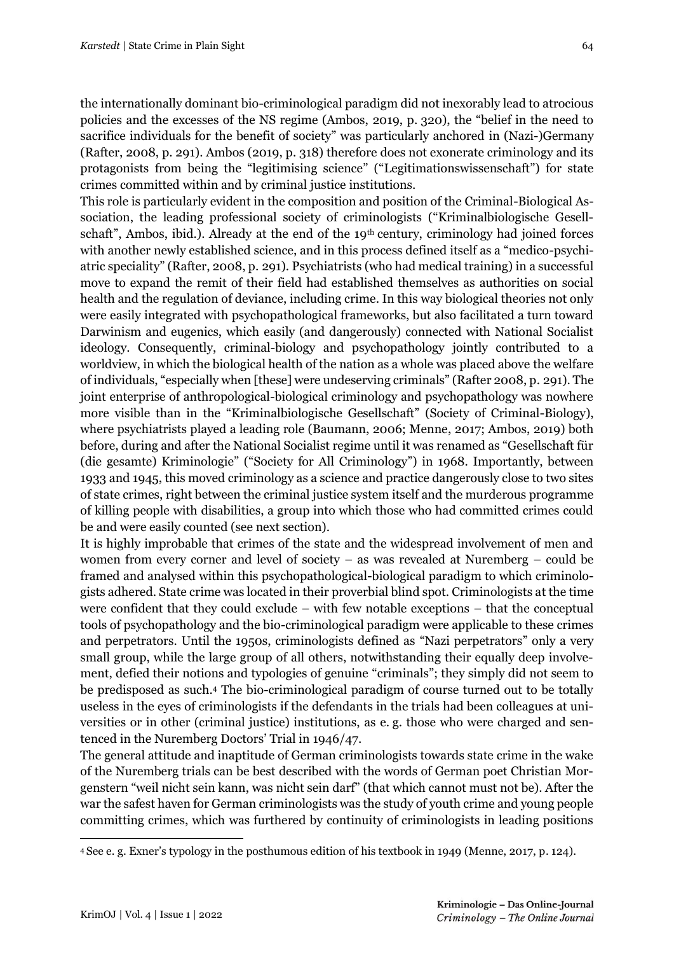the internationally dominant bio-criminological paradigm did not inexorably lead to atrocious policies and the excesses of the NS regime (Ambos, 2019, p. 320), the "belief in the need to sacrifice individuals for the benefit of society" was particularly anchored in (Nazi-)Germany (Rafter, 2008, p. 291). Ambos (2019, p. 318) therefore does not exonerate criminology and its protagonists from being the "legitimising science" ("Legitimationswissenschaft") for state crimes committed within and by criminal justice institutions.

This role is particularly evident in the composition and position of the Criminal-Biological Association, the leading professional society of criminologists ("Kriminalbiologische Gesellschaft", Ambos, ibid.). Already at the end of the 19<sup>th</sup> century, criminology had joined forces with another newly established science, and in this process defined itself as a "medico-psychiatric speciality" (Rafter, 2008, p. 291). Psychiatrists (who had medical training) in a successful move to expand the remit of their field had established themselves as authorities on social health and the regulation of deviance, including crime. In this way biological theories not only were easily integrated with psychopathological frameworks, but also facilitated a turn toward Darwinism and eugenics, which easily (and dangerously) connected with National Socialist ideology. Consequently, criminal-biology and psychopathology jointly contributed to a worldview, in which the biological health of the nation as a whole was placed above the welfare of individuals, "especially when [these] were undeserving criminals" (Rafter 2008, p. 291). The joint enterprise of anthropological-biological criminology and psychopathology was nowhere more visible than in the "Kriminalbiologische Gesellschaft" (Society of Criminal-Biology), where psychiatrists played a leading role (Baumann, 2006; Menne, 2017; Ambos, 2019) both before, during and after the National Socialist regime until it was renamed as "Gesellschaft für (die gesamte) Kriminologie" ("Society for All Criminology") in 1968. Importantly, between 1933 and 1945, this moved criminology as a science and practice dangerously close to two sites of state crimes, right between the criminal justice system itself and the murderous programme of killing people with disabilities, a group into which those who had committed crimes could be and were easily counted (see next section).

It is highly improbable that crimes of the state and the widespread involvement of men and women from every corner and level of society – as was revealed at Nuremberg – could be framed and analysed within this psychopathological-biological paradigm to which criminologists adhered. State crime was located in their proverbial blind spot. Criminologists at the time were confident that they could exclude – with few notable exceptions – that the conceptual tools of psychopathology and the bio-criminological paradigm were applicable to these crimes and perpetrators. Until the 1950s, criminologists defined as "Nazi perpetrators" only a very small group, while the large group of all others, notwithstanding their equally deep involvement, defied their notions and typologies of genuine "criminals"; they simply did not seem to be predisposed as such.<sup>4</sup> The bio-criminological paradigm of course turned out to be totally useless in the eyes of criminologists if the defendants in the trials had been colleagues at universities or in other (criminal justice) institutions, as e. g. those who were charged and sentenced in the Nuremberg Doctors' Trial in 1946/47.

The general attitude and inaptitude of German criminologists towards state crime in the wake of the Nuremberg trials can be best described with the words of German poet Christian Morgenstern "weil nicht sein kann, was nicht sein darf" (that which cannot must not be). After the war the safest haven for German criminologists was the study of youth crime and young people committing crimes, which was furthered by continuity of criminologists in leading positions

<sup>4</sup> See e. g. Exner's typology in the posthumous edition of his textbook in 1949 (Menne, 2017, p. 124).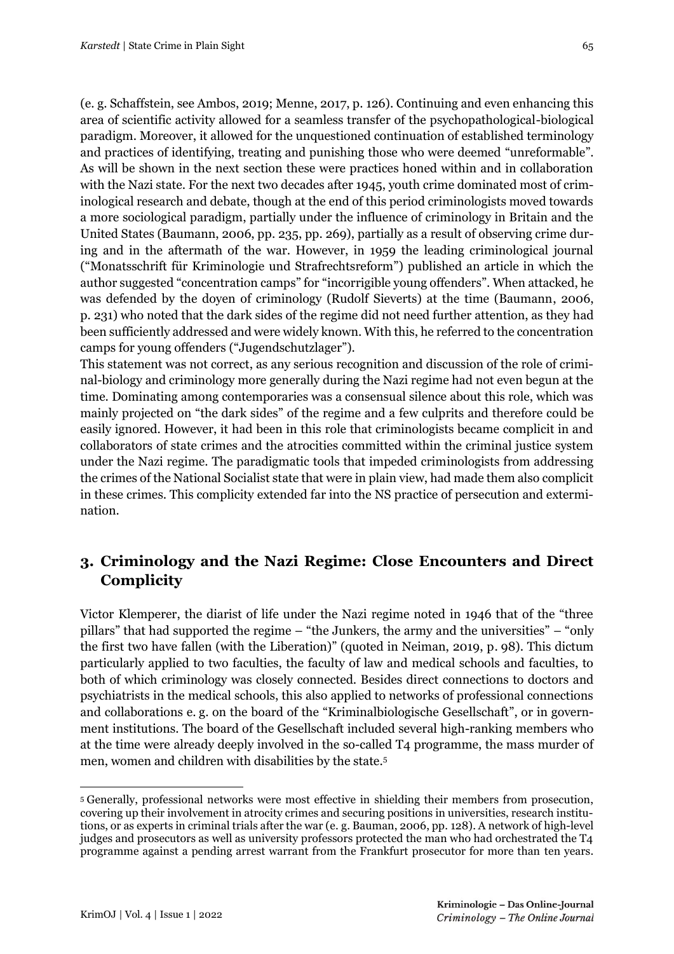(e. g. Schaffstein, see Ambos, 2019; Menne, 2017, p. 126). Continuing and even enhancing this area of scientific activity allowed for a seamless transfer of the psychopathological-biological paradigm. Moreover, it allowed for the unquestioned continuation of established terminology and practices of identifying, treating and punishing those who were deemed "unreformable". As will be shown in the next section these were practices honed within and in collaboration with the Nazi state. For the next two decades after 1945, youth crime dominated most of criminological research and debate, though at the end of this period criminologists moved towards a more sociological paradigm, partially under the influence of criminology in Britain and the United States (Baumann, 2006, pp. 235, pp. 269), partially as a result of observing crime during and in the aftermath of the war. However, in 1959 the leading criminological journal ("Monatsschrift für Kriminologie und Strafrechtsreform") published an article in which the author suggested "concentration camps" for "incorrigible young offenders". When attacked, he was defended by the doyen of criminology (Rudolf Sieverts) at the time (Baumann, 2006, p. 231) who noted that the dark sides of the regime did not need further attention, as they had been sufficiently addressed and were widely known. With this, he referred to the concentration camps for young offenders ("Jugendschutzlager").

This statement was not correct, as any serious recognition and discussion of the role of criminal-biology and criminology more generally during the Nazi regime had not even begun at the time. Dominating among contemporaries was a consensual silence about this role, which was mainly projected on "the dark sides" of the regime and a few culprits and therefore could be easily ignored. However, it had been in this role that criminologists became complicit in and collaborators of state crimes and the atrocities committed within the criminal justice system under the Nazi regime. The paradigmatic tools that impeded criminologists from addressing the crimes of the National Socialist state that were in plain view, had made them also complicit in these crimes. This complicity extended far into the NS practice of persecution and extermination.

## **3. Criminology and the Nazi Regime: Close Encounters and Direct Complicity**

Victor Klemperer, the diarist of life under the Nazi regime noted in 1946 that of the "three pillars" that had supported the regime – "the Junkers, the army and the universities" – "only the first two have fallen (with the Liberation)" (quoted in Neiman, 2019, p. 98). This dictum particularly applied to two faculties, the faculty of law and medical schools and faculties, to both of which criminology was closely connected. Besides direct connections to doctors and psychiatrists in the medical schools, this also applied to networks of professional connections and collaborations e. g. on the board of the "Kriminalbiologische Gesellschaft", or in government institutions. The board of the Gesellschaft included several high-ranking members who at the time were already deeply involved in the so-called T4 programme, the mass murder of men, women and children with disabilities by the state.<sup>5</sup>

<sup>5</sup> Generally, professional networks were most effective in shielding their members from prosecution, covering up their involvement in atrocity crimes and securing positions in universities, research institutions, or as experts in criminal trials after the war (e. g. Bauman, 2006, pp. 128). A network of high-level judges and prosecutors as well as university professors protected the man who had orchestrated the T4 programme against a pending arrest warrant from the Frankfurt prosecutor for more than ten years.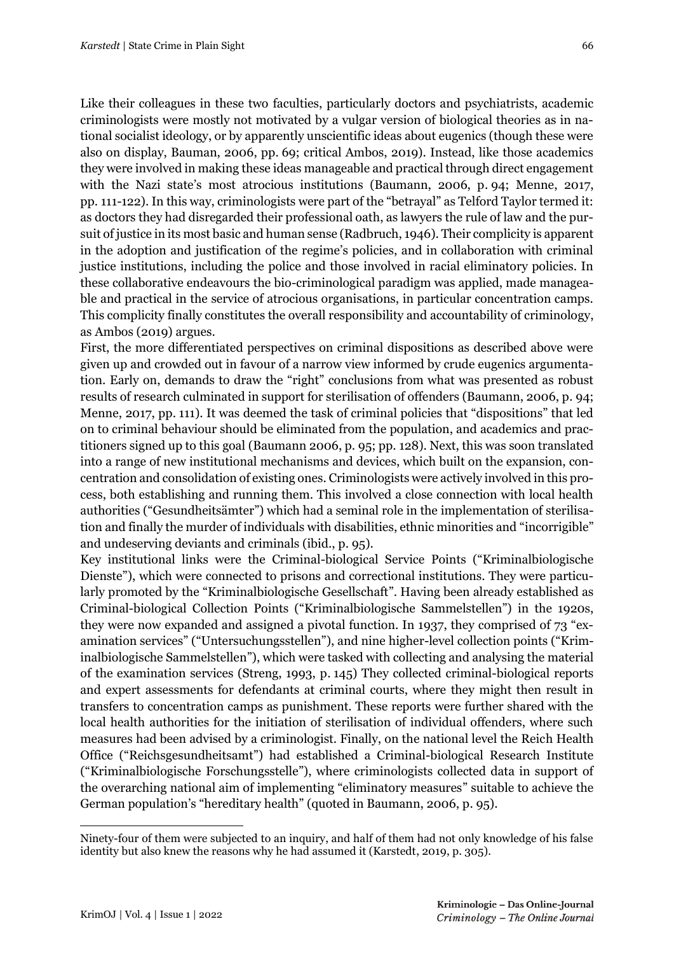Like their colleagues in these two faculties, particularly doctors and psychiatrists, academic criminologists were mostly not motivated by a vulgar version of biological theories as in national socialist ideology, or by apparently unscientific ideas about eugenics (though these were also on display, Bauman, 2006, pp. 69; critical Ambos, 2019). Instead, like those academics they were involved in making these ideas manageable and practical through direct engagement with the Nazi state's most atrocious institutions (Baumann, 2006, p. 94; Menne, 2017, pp. 111-122). In this way, criminologists were part of the "betrayal" as Telford Taylor termed it: as doctors they had disregarded their professional oath, as lawyers the rule of law and the pursuit of justice in its most basic and human sense (Radbruch, 1946). Their complicity is apparent in the adoption and justification of the regime's policies, and in collaboration with criminal justice institutions, including the police and those involved in racial eliminatory policies. In these collaborative endeavours the bio-criminological paradigm was applied, made manageable and practical in the service of atrocious organisations, in particular concentration camps. This complicity finally constitutes the overall responsibility and accountability of criminology, as Ambos (2019) argues.

First, the more differentiated perspectives on criminal dispositions as described above were given up and crowded out in favour of a narrow view informed by crude eugenics argumentation. Early on, demands to draw the "right" conclusions from what was presented as robust results of research culminated in support for sterilisation of offenders (Baumann, 2006, p. 94; Menne, 2017, pp. 111). It was deemed the task of criminal policies that "dispositions" that led on to criminal behaviour should be eliminated from the population, and academics and practitioners signed up to this goal (Baumann 2006, p. 95; pp. 128). Next, this was soon translated into a range of new institutional mechanisms and devices, which built on the expansion, concentration and consolidation of existing ones. Criminologists were actively involved in this process, both establishing and running them. This involved a close connection with local health authorities ("Gesundheitsämter") which had a seminal role in the implementation of sterilisation and finally the murder of individuals with disabilities, ethnic minorities and "incorrigible" and undeserving deviants and criminals (ibid., p. 95).

Key institutional links were the Criminal-biological Service Points ("Kriminalbiologische Dienste"), which were connected to prisons and correctional institutions. They were particularly promoted by the "Kriminalbiologische Gesellschaft". Having been already established as Criminal-biological Collection Points ("Kriminalbiologische Sammelstellen") in the 1920s, they were now expanded and assigned a pivotal function. In 1937, they comprised of 73 "examination services" ("Untersuchungsstellen"), and nine higher-level collection points ("Kriminalbiologische Sammelstellen"), which were tasked with collecting and analysing the material of the examination services (Streng, 1993, p. 145) They collected criminal-biological reports and expert assessments for defendants at criminal courts, where they might then result in transfers to concentration camps as punishment. These reports were further shared with the local health authorities for the initiation of sterilisation of individual offenders, where such measures had been advised by a criminologist. Finally, on the national level the Reich Health Office ("Reichsgesundheitsamt") had established a Criminal-biological Research Institute ("Kriminalbiologische Forschungsstelle"), where criminologists collected data in support of the overarching national aim of implementing "eliminatory measures" suitable to achieve the German population's "hereditary health" (quoted in Baumann, 2006, p. 95).

Ninety-four of them were subjected to an inquiry, and half of them had not only knowledge of his false identity but also knew the reasons why he had assumed it (Karstedt, 2019, p. 305).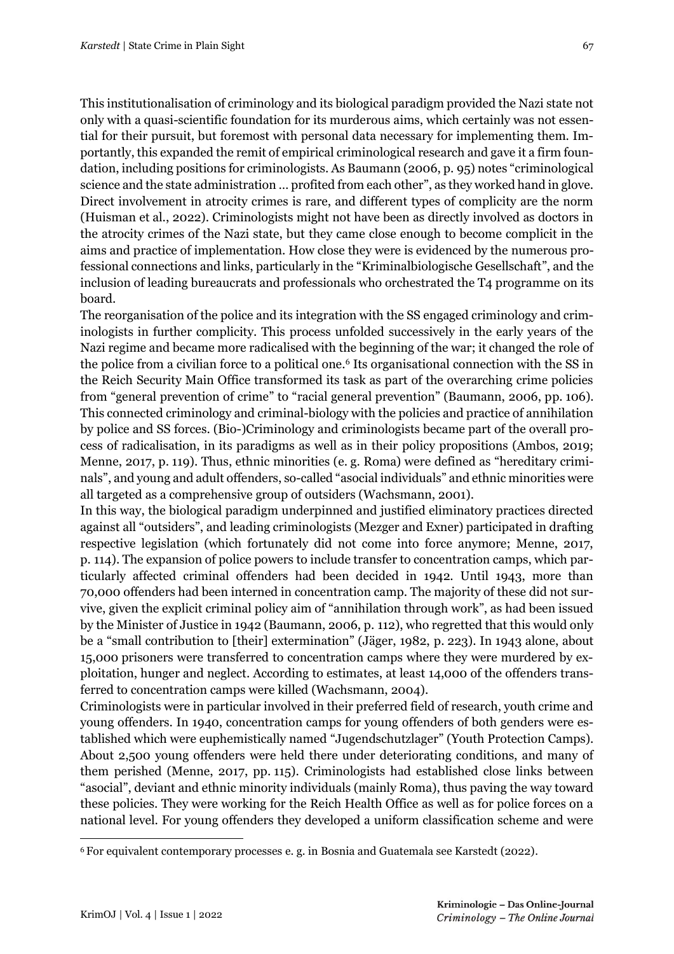This institutionalisation of criminology and its biological paradigm provided the Nazi state not only with a quasi-scientific foundation for its murderous aims, which certainly was not essential for their pursuit, but foremost with personal data necessary for implementing them. Importantly, this expanded the remit of empirical criminological research and gave it a firm foundation, including positions for criminologists. As Baumann (2006, p. 95) notes "criminological science and the state administration … profited from each other", as they worked hand in glove. Direct involvement in atrocity crimes is rare, and different types of complicity are the norm (Huisman et al., 2022). Criminologists might not have been as directly involved as doctors in the atrocity crimes of the Nazi state, but they came close enough to become complicit in the aims and practice of implementation. How close they were is evidenced by the numerous professional connections and links, particularly in the "Kriminalbiologische Gesellschaft", and the inclusion of leading bureaucrats and professionals who orchestrated the T4 programme on its board.

The reorganisation of the police and its integration with the SS engaged criminology and criminologists in further complicity. This process unfolded successively in the early years of the Nazi regime and became more radicalised with the beginning of the war; it changed the role of the police from a civilian force to a political one.<sup>6</sup> Its organisational connection with the SS in the Reich Security Main Office transformed its task as part of the overarching crime policies from "general prevention of crime" to "racial general prevention" (Baumann, 2006, pp. 106). This connected criminology and criminal-biology with the policies and practice of annihilation by police and SS forces. (Bio-)Criminology and criminologists became part of the overall process of radicalisation, in its paradigms as well as in their policy propositions (Ambos, 2019; Menne, 2017, p. 119). Thus, ethnic minorities (e. g. Roma) were defined as "hereditary criminals", and young and adult offenders, so-called "asocial individuals" and ethnic minorities were all targeted as a comprehensive group of outsiders (Wachsmann, 2001).

In this way, the biological paradigm underpinned and justified eliminatory practices directed against all "outsiders", and leading criminologists (Mezger and Exner) participated in drafting respective legislation (which fortunately did not come into force anymore; Menne, 2017, p. 114). The expansion of police powers to include transfer to concentration camps, which particularly affected criminal offenders had been decided in 1942. Until 1943, more than 70,000 offenders had been interned in concentration camp. The majority of these did not survive, given the explicit criminal policy aim of "annihilation through work", as had been issued by the Minister of Justice in 1942 (Baumann, 2006, p. 112), who regretted that this would only be a "small contribution to [their] extermination" (Jäger, 1982, p. 223). In 1943 alone, about 15,000 prisoners were transferred to concentration camps where they were murdered by exploitation, hunger and neglect. According to estimates, at least 14,000 of the offenders transferred to concentration camps were killed (Wachsmann, 2004).

Criminologists were in particular involved in their preferred field of research, youth crime and young offenders. In 1940, concentration camps for young offenders of both genders were established which were euphemistically named "Jugendschutzlager" (Youth Protection Camps). About 2,500 young offenders were held there under deteriorating conditions, and many of them perished (Menne, 2017, pp. 115). Criminologists had established close links between "asocial", deviant and ethnic minority individuals (mainly Roma), thus paving the way toward these policies. They were working for the Reich Health Office as well as for police forces on a national level. For young offenders they developed a uniform classification scheme and were

<sup>6</sup> For equivalent contemporary processes e. g. in Bosnia and Guatemala see Karstedt (2022).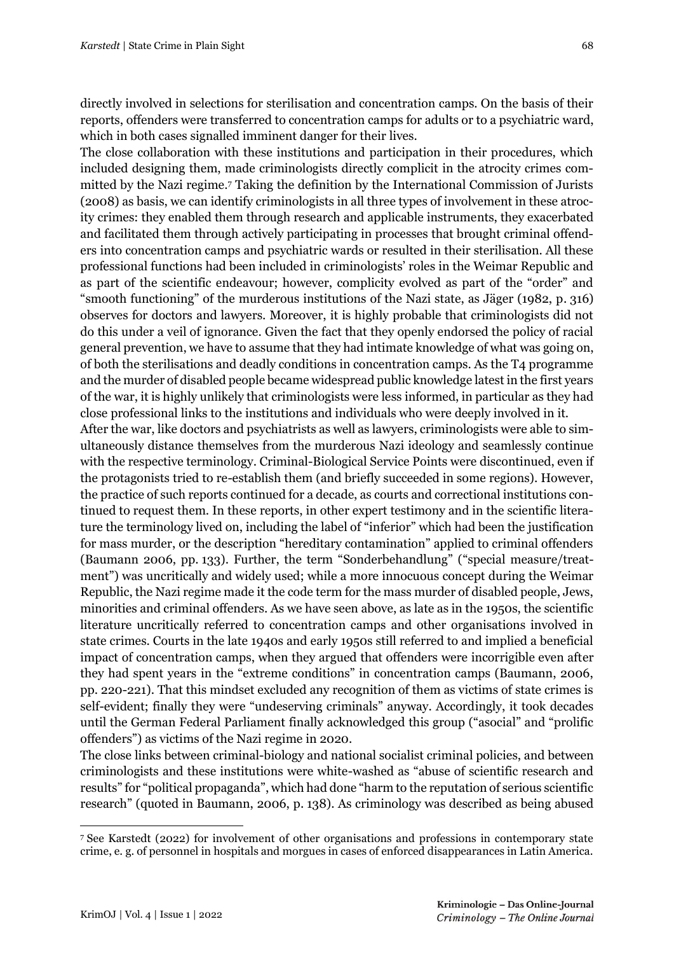directly involved in selections for sterilisation and concentration camps. On the basis of their reports, offenders were transferred to concentration camps for adults or to a psychiatric ward, which in both cases signalled imminent danger for their lives.

The close collaboration with these institutions and participation in their procedures, which included designing them, made criminologists directly complicit in the atrocity crimes committed by the Nazi regime.<sup>7</sup> Taking the definition by the International Commission of Jurists (2008) as basis, we can identify criminologists in all three types of involvement in these atrocity crimes: they enabled them through research and applicable instruments, they exacerbated and facilitated them through actively participating in processes that brought criminal offenders into concentration camps and psychiatric wards or resulted in their sterilisation. All these professional functions had been included in criminologists' roles in the Weimar Republic and as part of the scientific endeavour; however, complicity evolved as part of the "order" and "smooth functioning" of the murderous institutions of the Nazi state, as Jäger (1982, p. 316) observes for doctors and lawyers. Moreover, it is highly probable that criminologists did not do this under a veil of ignorance. Given the fact that they openly endorsed the policy of racial general prevention, we have to assume that they had intimate knowledge of what was going on, of both the sterilisations and deadly conditions in concentration camps. As the T4 programme and the murder of disabled people became widespread public knowledge latest in the first years of the war, it is highly unlikely that criminologists were less informed, in particular as they had close professional links to the institutions and individuals who were deeply involved in it.

After the war, like doctors and psychiatrists as well as lawyers, criminologists were able to simultaneously distance themselves from the murderous Nazi ideology and seamlessly continue with the respective terminology. Criminal-Biological Service Points were discontinued, even if the protagonists tried to re-establish them (and briefly succeeded in some regions). However, the practice of such reports continued for a decade, as courts and correctional institutions continued to request them. In these reports, in other expert testimony and in the scientific literature the terminology lived on, including the label of "inferior" which had been the justification for mass murder, or the description "hereditary contamination" applied to criminal offenders (Baumann 2006, pp. 133). Further, the term "Sonderbehandlung" ("special measure/treatment") was uncritically and widely used; while a more innocuous concept during the Weimar Republic, the Nazi regime made it the code term for the mass murder of disabled people, Jews, minorities and criminal offenders. As we have seen above, as late as in the 1950s, the scientific literature uncritically referred to concentration camps and other organisations involved in state crimes. Courts in the late 1940s and early 1950s still referred to and implied a beneficial impact of concentration camps, when they argued that offenders were incorrigible even after they had spent years in the "extreme conditions" in concentration camps (Baumann, 2006, pp. 220-221). That this mindset excluded any recognition of them as victims of state crimes is self-evident; finally they were "undeserving criminals" anyway. Accordingly, it took decades until the German Federal Parliament finally acknowledged this group ("asocial" and "prolific offenders") as victims of the Nazi regime in 2020.

The close links between criminal-biology and national socialist criminal policies, and between criminologists and these institutions were white-washed as "abuse of scientific research and results" for "political propaganda", which had done "harm to the reputation of serious scientific research" (quoted in Baumann, 2006, p. 138). As criminology was described as being abused

<sup>7</sup> See Karstedt (2022) for involvement of other organisations and professions in contemporary state crime, e. g. of personnel in hospitals and morgues in cases of enforced disappearances in Latin America.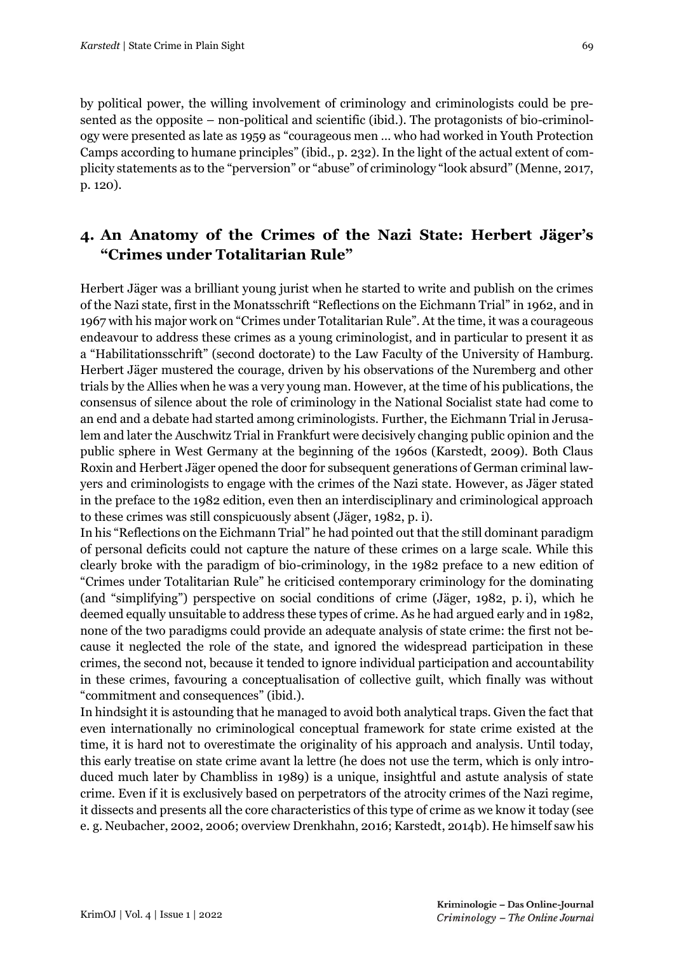by political power, the willing involvement of criminology and criminologists could be presented as the opposite – non-political and scientific (ibid.). The protagonists of bio-criminology were presented as late as 1959 as "courageous men … who had worked in Youth Protection Camps according to humane principles" (ibid., p. 232). In the light of the actual extent of complicity statements as to the "perversion" or "abuse" of criminology "look absurd" (Menne, 2017, p. 120).

#### **4. An Anatomy of the Crimes of the Nazi State: Herbert Jäger's "Crimes under Totalitarian Rule"**

Herbert Jäger was a brilliant young jurist when he started to write and publish on the crimes of the Nazi state, first in the Monatsschrift "Reflections on the Eichmann Trial" in 1962, and in 1967 with his major work on "Crimes under Totalitarian Rule". At the time, it was a courageous endeavour to address these crimes as a young criminologist, and in particular to present it as a "Habilitationsschrift" (second doctorate) to the Law Faculty of the University of Hamburg. Herbert Jäger mustered the courage, driven by his observations of the Nuremberg and other trials by the Allies when he was a very young man. However, at the time of his publications, the consensus of silence about the role of criminology in the National Socialist state had come to an end and a debate had started among criminologists. Further, the Eichmann Trial in Jerusalem and later the Auschwitz Trial in Frankfurt were decisively changing public opinion and the public sphere in West Germany at the beginning of the 1960s (Karstedt, 2009). Both Claus Roxin and Herbert Jäger opened the door for subsequent generations of German criminal lawyers and criminologists to engage with the crimes of the Nazi state. However, as Jäger stated in the preface to the 1982 edition, even then an interdisciplinary and criminological approach to these crimes was still conspicuously absent (Jäger, 1982, p. i).

In his "Reflections on the Eichmann Trial" he had pointed out that the still dominant paradigm of personal deficits could not capture the nature of these crimes on a large scale. While this clearly broke with the paradigm of bio-criminology, in the 1982 preface to a new edition of "Crimes under Totalitarian Rule" he criticised contemporary criminology for the dominating (and "simplifying") perspective on social conditions of crime (Jäger, 1982, p. i), which he deemed equally unsuitable to address these types of crime. As he had argued early and in 1982, none of the two paradigms could provide an adequate analysis of state crime: the first not because it neglected the role of the state, and ignored the widespread participation in these crimes, the second not, because it tended to ignore individual participation and accountability in these crimes, favouring a conceptualisation of collective guilt, which finally was without "commitment and consequences" (ibid.).

In hindsight it is astounding that he managed to avoid both analytical traps. Given the fact that even internationally no criminological conceptual framework for state crime existed at the time, it is hard not to overestimate the originality of his approach and analysis. Until today, this early treatise on state crime avant la lettre (he does not use the term, which is only introduced much later by Chambliss in 1989) is a unique, insightful and astute analysis of state crime. Even if it is exclusively based on perpetrators of the atrocity crimes of the Nazi regime, it dissects and presents all the core characteristics of this type of crime as we know it today (see e. g. Neubacher, 2002, 2006; overview Drenkhahn, 2016; Karstedt, 2014b). He himself saw his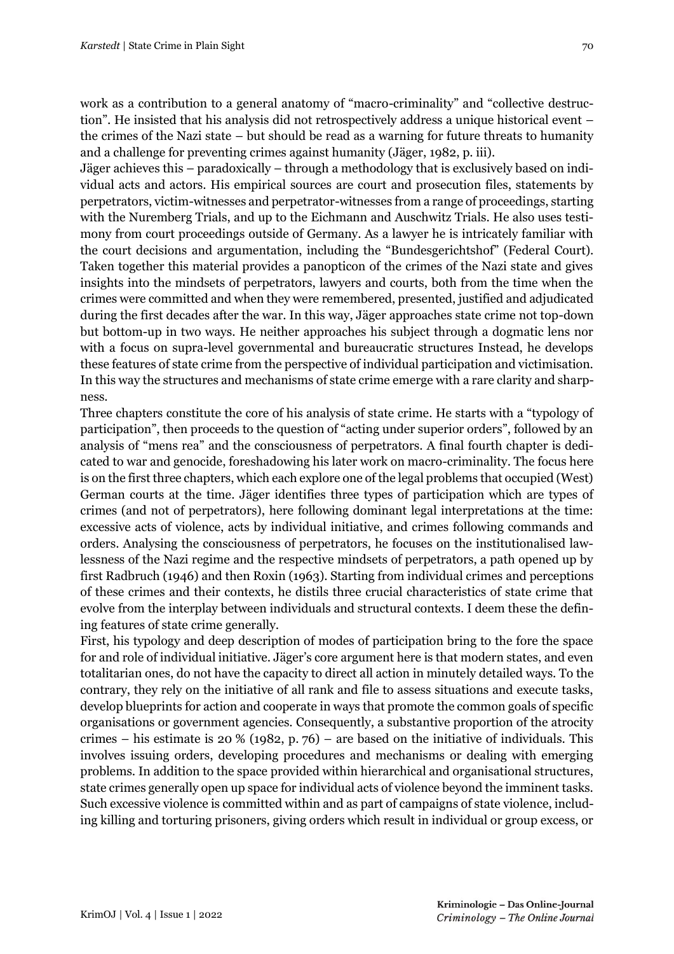work as a contribution to a general anatomy of "macro-criminality" and "collective destruction". He insisted that his analysis did not retrospectively address a unique historical event – the crimes of the Nazi state – but should be read as a warning for future threats to humanity and a challenge for preventing crimes against humanity (Jäger, 1982, p. iii).

Jäger achieves this – paradoxically – through a methodology that is exclusively based on individual acts and actors. His empirical sources are court and prosecution files, statements by perpetrators, victim-witnesses and perpetrator-witnesses from a range of proceedings, starting with the Nuremberg Trials, and up to the Eichmann and Auschwitz Trials. He also uses testimony from court proceedings outside of Germany. As a lawyer he is intricately familiar with the court decisions and argumentation, including the "Bundesgerichtshof" (Federal Court). Taken together this material provides a panopticon of the crimes of the Nazi state and gives insights into the mindsets of perpetrators, lawyers and courts, both from the time when the crimes were committed and when they were remembered, presented, justified and adjudicated during the first decades after the war. In this way, Jäger approaches state crime not top-down but bottom-up in two ways. He neither approaches his subject through a dogmatic lens nor with a focus on supra-level governmental and bureaucratic structures Instead, he develops these features of state crime from the perspective of individual participation and victimisation. In this way the structures and mechanisms of state crime emerge with a rare clarity and sharpness.

Three chapters constitute the core of his analysis of state crime. He starts with a "typology of participation", then proceeds to the question of "acting under superior orders", followed by an analysis of "mens rea" and the consciousness of perpetrators. A final fourth chapter is dedicated to war and genocide, foreshadowing his later work on macro-criminality. The focus here is on the first three chapters, which each explore one of the legal problems that occupied (West) German courts at the time. Jäger identifies three types of participation which are types of crimes (and not of perpetrators), here following dominant legal interpretations at the time: excessive acts of violence, acts by individual initiative, and crimes following commands and orders. Analysing the consciousness of perpetrators, he focuses on the institutionalised lawlessness of the Nazi regime and the respective mindsets of perpetrators, a path opened up by first Radbruch (1946) and then Roxin (1963). Starting from individual crimes and perceptions of these crimes and their contexts, he distils three crucial characteristics of state crime that evolve from the interplay between individuals and structural contexts. I deem these the defining features of state crime generally.

First, his typology and deep description of modes of participation bring to the fore the space for and role of individual initiative. Jäger's core argument here is that modern states, and even totalitarian ones, do not have the capacity to direct all action in minutely detailed ways. To the contrary, they rely on the initiative of all rank and file to assess situations and execute tasks, develop blueprints for action and cooperate in ways that promote the common goals of specific organisations or government agencies. Consequently, a substantive proportion of the atrocity crimes – his estimate is 20 % (1982, p. 76) – are based on the initiative of individuals. This involves issuing orders, developing procedures and mechanisms or dealing with emerging problems. In addition to the space provided within hierarchical and organisational structures, state crimes generally open up space for individual acts of violence beyond the imminent tasks. Such excessive violence is committed within and as part of campaigns of state violence, including killing and torturing prisoners, giving orders which result in individual or group excess, or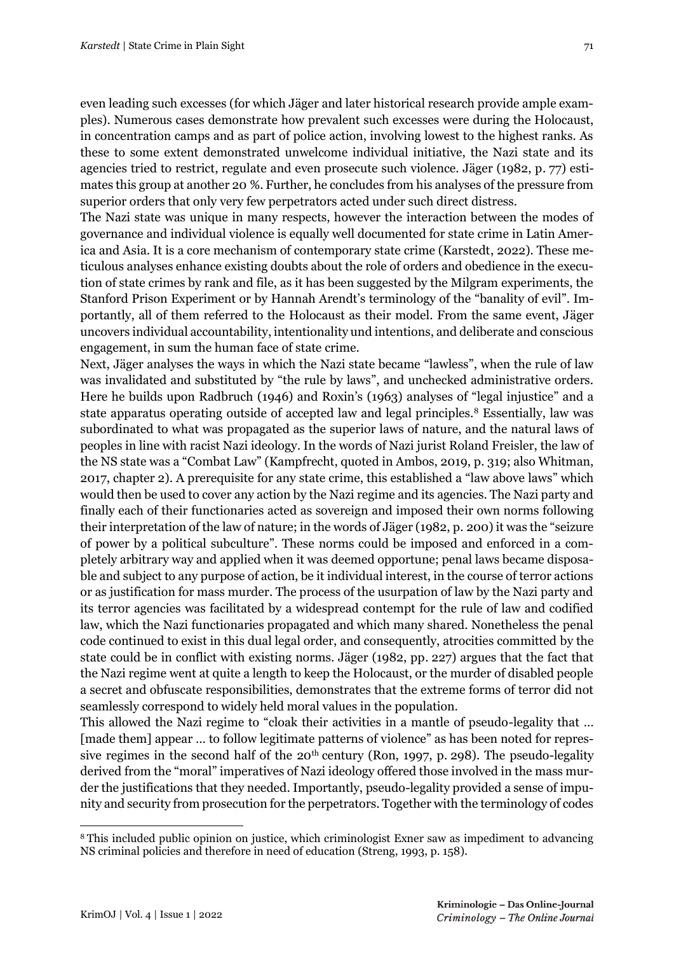even leading such excesses (for which Jäger and later historical research provide ample examples). Numerous cases demonstrate how prevalent such excesses were during the Holocaust, in concentration camps and as part of police action, involving lowest to the highest ranks. As these to some extent demonstrated unwelcome individual initiative, the Nazi state and its agencies tried to restrict, regulate and even prosecute such violence. Jäger (1982, p. 77) estimates this group at another 20 %. Further, he concludes from his analyses of the pressure from superior orders that only very few perpetrators acted under such direct distress.

The Nazi state was unique in many respects, however the interaction between the modes of governance and individual violence is equally well documented for state crime in Latin America and Asia. It is a core mechanism of contemporary state crime (Karstedt, 2022). These meticulous analyses enhance existing doubts about the role of orders and obedience in the execution of state crimes by rank and file, as it has been suggested by the Milgram experiments, the Stanford Prison Experiment or by Hannah Arendt's terminology of the "banality of evil". Importantly, all of them referred to the Holocaust as their model. From the same event, Jäger uncovers individual accountability, intentionality und intentions, and deliberate and conscious engagement, in sum the human face of state crime.

Next, Jäger analyses the ways in which the Nazi state became "lawless", when the rule of law was invalidated and substituted by "the rule by laws", and unchecked administrative orders. Here he builds upon Radbruch (1946) and Roxin's (1963) analyses of "legal injustice" and a state apparatus operating outside of accepted law and legal principles.<sup>8</sup> Essentially, law was subordinated to what was propagated as the superior laws of nature, and the natural laws of peoples in line with racist Nazi ideology. In the words of Nazi jurist Roland Freisler, the law of the NS state was a "Combat Law" (Kampfrecht, quoted in Ambos, 2019, p. 319; also Whitman, 2017, chapter 2). A prerequisite for any state crime, this established a "law above laws" which would then be used to cover any action by the Nazi regime and its agencies. The Nazi party and finally each of their functionaries acted as sovereign and imposed their own norms following their interpretation of the law of nature; in the words of Jäger (1982, p. 200) it was the "seizure of power by a political subculture". These norms could be imposed and enforced in a completely arbitrary way and applied when it was deemed opportune; penal laws became disposable and subject to any purpose of action, be it individual interest, in the course of terror actions or as justification for mass murder. The process of the usurpation of law by the Nazi party and its terror agencies was facilitated by a widespread contempt for the rule of law and codified law, which the Nazi functionaries propagated and which many shared. Nonetheless the penal code continued to exist in this dual legal order, and consequently, atrocities committed by the state could be in conflict with existing norms. Jäger (1982, pp. 227) argues that the fact that the Nazi regime went at quite a length to keep the Holocaust, or the murder of disabled people a secret and obfuscate responsibilities, demonstrates that the extreme forms of terror did not seamlessly correspond to widely held moral values in the population.

This allowed the Nazi regime to "cloak their activities in a mantle of pseudo-legality that … [made them] appear … to follow legitimate patterns of violence" as has been noted for repressive regimes in the second half of the  $20<sup>th</sup>$  century (Ron, 1997, p. 298). The pseudo-legality derived from the "moral" imperatives of Nazi ideology offered those involved in the mass murder the justifications that they needed. Importantly, pseudo-legality provided a sense of impunity and security from prosecution for the perpetrators. Together with the terminology of codes

<sup>8</sup> This included public opinion on justice, which criminologist Exner saw as impediment to advancing NS criminal policies and therefore in need of education (Streng, 1993, p. 158).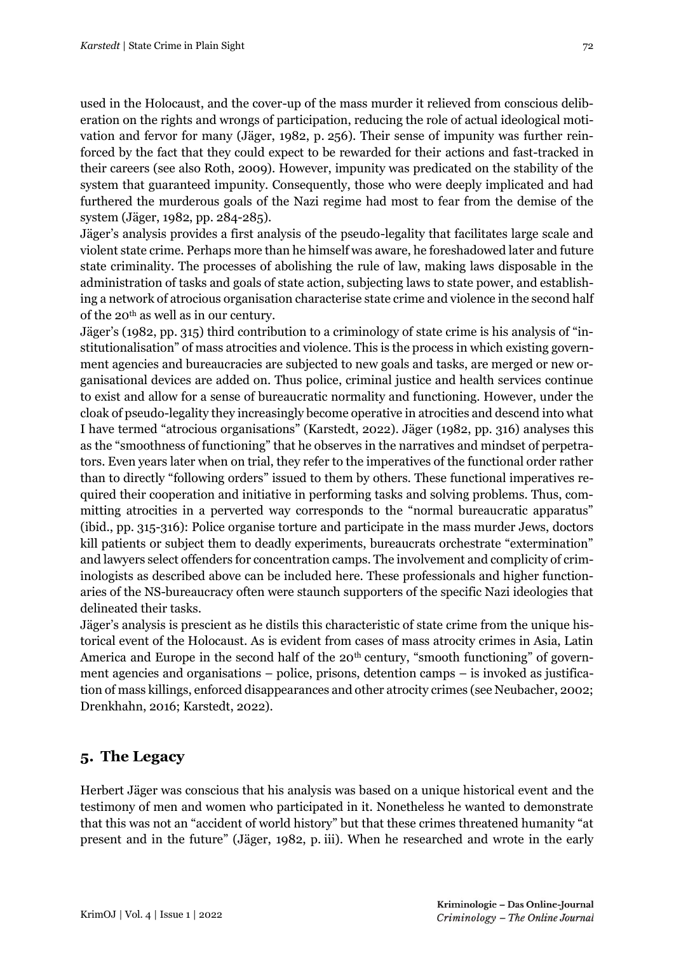used in the Holocaust, and the cover-up of the mass murder it relieved from conscious deliberation on the rights and wrongs of participation, reducing the role of actual ideological motivation and fervor for many (Jäger, 1982, p. 256). Their sense of impunity was further reinforced by the fact that they could expect to be rewarded for their actions and fast-tracked in their careers (see also Roth, 2009). However, impunity was predicated on the stability of the system that guaranteed impunity. Consequently, those who were deeply implicated and had furthered the murderous goals of the Nazi regime had most to fear from the demise of the system (Jäger, 1982, pp. 284-285).

Jäger's analysis provides a first analysis of the pseudo-legality that facilitates large scale and violent state crime. Perhaps more than he himself was aware, he foreshadowed later and future state criminality. The processes of abolishing the rule of law, making laws disposable in the administration of tasks and goals of state action, subjecting laws to state power, and establishing a network of atrocious organisation characterise state crime and violence in the second half of the 20th as well as in our century.

Jäger's (1982, pp. 315) third contribution to a criminology of state crime is his analysis of "institutionalisation" of mass atrocities and violence. This is the process in which existing government agencies and bureaucracies are subjected to new goals and tasks, are merged or new organisational devices are added on. Thus police, criminal justice and health services continue to exist and allow for a sense of bureaucratic normality and functioning. However, under the cloak of pseudo-legality they increasingly become operative in atrocities and descend into what I have termed "atrocious organisations" (Karstedt, 2022). Jäger (1982, pp. 316) analyses this as the "smoothness of functioning" that he observes in the narratives and mindset of perpetrators. Even years later when on trial, they refer to the imperatives of the functional order rather than to directly "following orders" issued to them by others. These functional imperatives required their cooperation and initiative in performing tasks and solving problems. Thus, committing atrocities in a perverted way corresponds to the "normal bureaucratic apparatus" (ibid., pp. 315-316): Police organise torture and participate in the mass murder Jews, doctors kill patients or subject them to deadly experiments, bureaucrats orchestrate "extermination" and lawyers select offenders for concentration camps. The involvement and complicity of criminologists as described above can be included here. These professionals and higher functionaries of the NS-bureaucracy often were staunch supporters of the specific Nazi ideologies that delineated their tasks.

Jäger's analysis is prescient as he distils this characteristic of state crime from the unique historical event of the Holocaust. As is evident from cases of mass atrocity crimes in Asia, Latin America and Europe in the second half of the 20<sup>th</sup> century, "smooth functioning" of government agencies and organisations – police, prisons, detention camps – is invoked as justification of mass killings, enforced disappearances and other atrocity crimes (see Neubacher, 2002; Drenkhahn, 2016; Karstedt, 2022).

#### **5. The Legacy**

Herbert Jäger was conscious that his analysis was based on a unique historical event and the testimony of men and women who participated in it. Nonetheless he wanted to demonstrate that this was not an "accident of world history" but that these crimes threatened humanity "at present and in the future" (Jäger, 1982, p. iii). When he researched and wrote in the early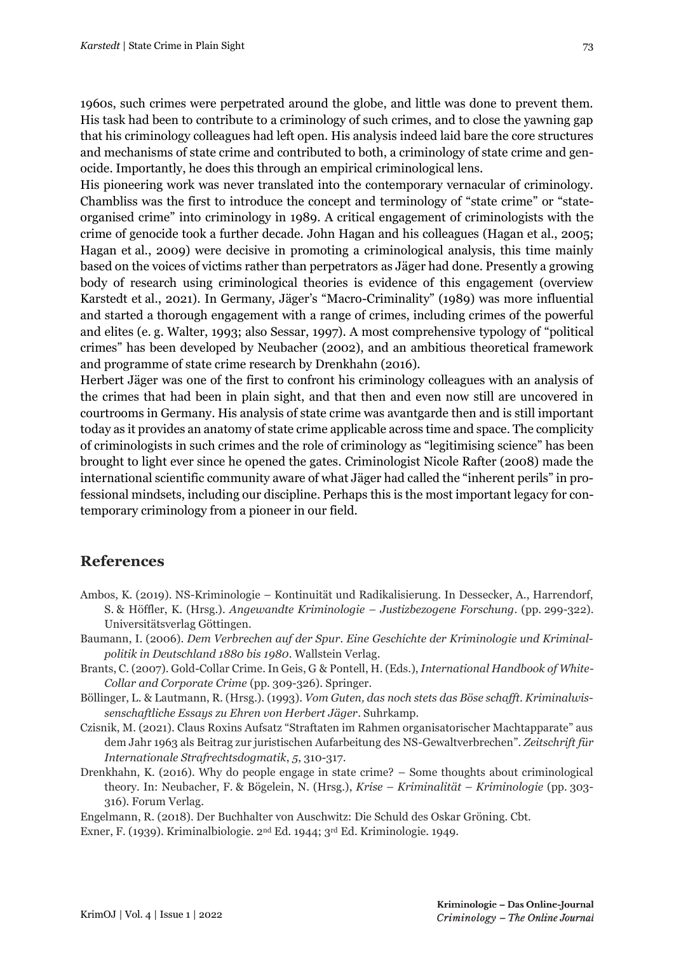1960s, such crimes were perpetrated around the globe, and little was done to prevent them.

His task had been to contribute to a criminology of such crimes, and to close the yawning gap that his criminology colleagues had left open. His analysis indeed laid bare the core structures and mechanisms of state crime and contributed to both, a criminology of state crime and genocide. Importantly, he does this through an empirical criminological lens.

His pioneering work was never translated into the contemporary vernacular of criminology. Chambliss was the first to introduce the concept and terminology of "state crime" or "stateorganised crime" into criminology in 1989. A critical engagement of criminologists with the crime of genocide took a further decade. John Hagan and his colleagues (Hagan et al., 2005; Hagan et al., 2009) were decisive in promoting a criminological analysis, this time mainly based on the voices of victims rather than perpetrators as Jäger had done. Presently a growing body of research using criminological theories is evidence of this engagement (overview Karstedt et al., 2021). In Germany, Jäger's "Macro-Criminality" (1989) was more influential and started a thorough engagement with a range of crimes, including crimes of the powerful and elites (e. g. Walter, 1993; also Sessar, 1997). A most comprehensive typology of "political crimes" has been developed by Neubacher (2002), and an ambitious theoretical framework and programme of state crime research by Drenkhahn (2016).

Herbert Jäger was one of the first to confront his criminology colleagues with an analysis of the crimes that had been in plain sight, and that then and even now still are uncovered in courtrooms in Germany. His analysis of state crime was avantgarde then and is still important today as it provides an anatomy of state crime applicable across time and space. The complicity of criminologists in such crimes and the role of criminology as "legitimising science" has been brought to light ever since he opened the gates. Criminologist Nicole Rafter (2008) made the international scientific community aware of what Jäger had called the "inherent perils" in professional mindsets, including our discipline. Perhaps this is the most important legacy for contemporary criminology from a pioneer in our field.

#### **References**

- Ambos, K. (2019). NS-Kriminologie Kontinuität und Radikalisierung. In Dessecker, A., Harrendorf, S. & Höffler, K. (Hrsg.). *Angewandte Kriminologie – Justizbezogene Forschung*. (pp. 299-322). Universitätsverlag Göttingen.
- Baumann, I. (2006). *Dem Verbrechen auf der Spur. Eine Geschichte der Kriminologie und Kriminalpolitik in Deutschland 1880 bis 1980*. Wallstein Verlag.
- Brants, C. (2007). Gold-Collar Crime. In Geis, G & Pontell, H. (Eds.), *International Handbook of White-Collar and Corporate Crime* (pp. 309-326). Springer.
- Böllinger, L. & Lautmann, R. (Hrsg.). (1993). *Vom Guten, das noch stets das Böse schafft. Kriminalwissenschaftliche Essays zu Ehren von Herbert Jäger*. Suhrkamp.
- Czisnik, M. (2021). Claus Roxins Aufsatz "Straftaten im Rahmen organisatorischer Machtapparate" aus dem Jahr 1963 als Beitrag zur juristischen Aufarbeitung des NS-Gewaltverbrechen". *Zeitschrift für Internationale Strafrechtsdogmatik*, *5*, 310-317.
- Drenkhahn, K. (2016). Why do people engage in state crime? Some thoughts about criminological theory. In: Neubacher, F. & Bögelein, N. (Hrsg.), *Krise – Kriminalität – Kriminologie* (pp. 303- 316). Forum Verlag.
- Engelmann, R. (2018). Der Buchhalter von Auschwitz: Die Schuld des Oskar Gröning. Cbt.
- Exner, F. (1939). Kriminalbiologie. 2nd Ed. 1944; 3rd Ed. Kriminologie. 1949.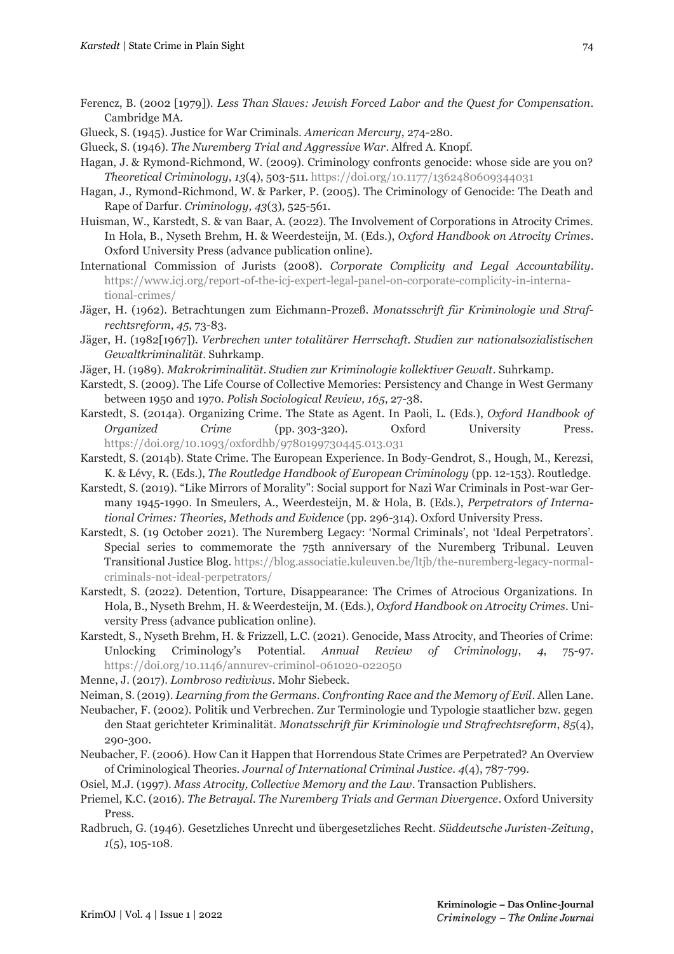- Ferencz, B. (2002 [1979]). *Less Than Slaves: Jewish Forced Labor and the Quest for Compensation*. Cambridge MA.
- Glueck, S. (1945). Justice for War Criminals. *American Mercury*, 274-280.
- Glueck, S. (1946). *The Nuremberg Trial and Aggressive War*. Alfred A. Knopf.
- Hagan, J. & Rymond-Richmond, W. (2009). Criminology confronts genocide: whose side are you on? *Theoretical Criminology*, *13*(4), 503-511. https://doi.org/10.1177/1362480609344031
- Hagan, J., Rymond-Richmond, W. & Parker, P. (2005). The Criminology of Genocide: The Death and Rape of Darfur. *Criminology*, *43*(3), 525-561.
- Huisman, W., Karstedt, S. & van Baar, A. (2022). The Involvement of Corporations in Atrocity Crimes. In Hola, B., Nyseth Brehm, H. & Weerdesteijn, M. (Eds.), *Oxford Handbook on Atrocity Crimes*. Oxford University Press (advance publication online).
- International Commission of Jurists (2008). *Corporate Complicity and Legal Accountability*. https://www.icj.org/report-of-the-icj-expert-legal-panel-on-corporate-complicity-in-international-crimes/
- Jäger, H. (1962). Betrachtungen zum Eichmann-Prozeß. *Monatsschrift für Kriminologie und Strafrechtsreform*, *45*, 73-83.
- Jäger, H. (1982[1967]). *Verbrechen unter totalitärer Herrschaft. Studien zur nationalsozialistischen Gewaltkriminalität*. Suhrkamp.
- Jäger, H. (1989). *Makrokriminalität. Studien zur Kriminologie kollektiver Gewalt*. Suhrkamp.
- Karstedt, S. (2009). The Life Course of Collective Memories: Persistency and Change in West Germany between 1950 and 1970. *Polish Sociological Review, 165*, 27-38.
- Karstedt, S. (2014a). Organizing Crime. The State as Agent. In Paoli, L. (Eds.), *Oxford Handbook of Organized Crime* (pp. 303-320). Oxford University Press. https://doi.org/10.1093/oxfordhb/9780199730445.013.031
- Karstedt, S. (2014b). State Crime. The European Experience. In Body-Gendrot, S., Hough, M., Kerezsi, K. & Lévy, R. (Eds.), *The Routledge Handbook of European Criminology* (pp. 12-153). Routledge.
- Karstedt, S. (2019). "Like Mirrors of Morality": Social support for Nazi War Criminals in Post-war Germany 1945-1990. In Smeulers, A., Weerdesteijn, M. & Hola, B. (Eds.), *Perpetrators of International Crimes: Theories, Methods and Evidence* (pp. 296-314). Oxford University Press.
- Karstedt, S. (19 October 2021). The Nuremberg Legacy: 'Normal Criminals', not 'Ideal Perpetrators'. Special series to commemorate the 75th anniversary of the Nuremberg Tribunal. Leuven Transitional Justice Blog. https://blog.associatie.kuleuven.be/ltjb/the-nuremberg-legacy-normalcriminals-not-ideal-perpetrators/
- Karstedt, S. (2022). Detention, Torture, Disappearance: The Crimes of Atrocious Organizations. In Hola, B., Nyseth Brehm, H. & Weerdesteijn, M. (Eds.), *Oxford Handbook on Atrocity Crimes*. University Press (advance publication online).
- Karstedt, S., Nyseth Brehm, H. & Frizzell, L.C. (2021). Genocide, Mass Atrocity, and Theories of Crime: Unlocking Criminology's Potential. *Annual Review of Criminology*, *4*, 75-97. https://doi.org/10.1146/annurev-criminol-061020-022050
- Menne, J. (2017). *Lombroso redivivus*. Mohr Siebeck.
- Neiman, S. (2019). *Learning from the Germans. Confronting Race and the Memory of Evil*. Allen Lane.
- Neubacher, F. (2002). Politik und Verbrechen. Zur Terminologie und Typologie staatlicher bzw. gegen den Staat gerichteter Kriminalität. *Monatsschrift für Kriminologie und Strafrechtsreform*, *85*(4), 290-300.
- Neubacher, F. (2006). How Can it Happen that Horrendous State Crimes are Perpetrated? An Overview of Criminological Theories. *Journal of International Criminal Justice*. *4*(4), 787-799.
- Osiel, M.J. (1997). *Mass Atrocity, Collective Memory and the Law*. Transaction Publishers.
- Priemel, K.C. (2016). *The Betrayal. The Nuremberg Trials and German Divergence*. Oxford University Press.
- Radbruch, G. (1946). Gesetzliches Unrecht und übergesetzliches Recht. *Süddeutsche Juristen-Zeitung*, *1*(5), 105-108.